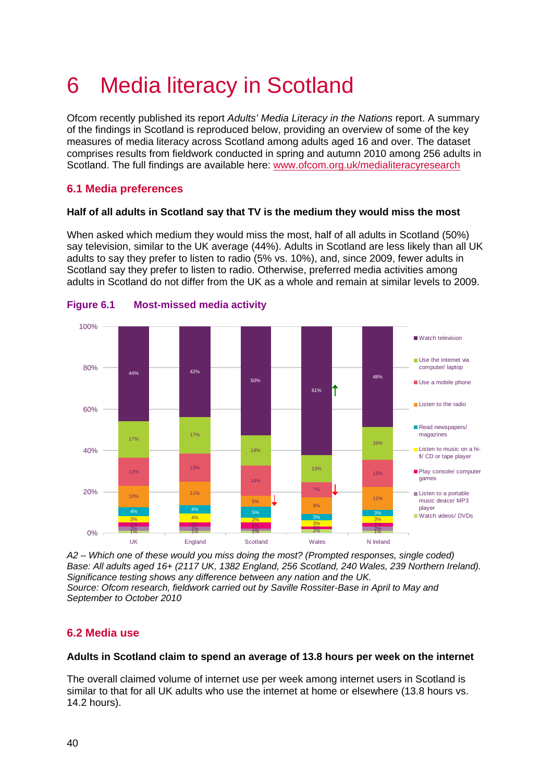# 6 Media literacy in Scotland

Ofcom recently published its report *Adults' Media Literacy in the Nations* report. A summary of the findings in Scotland is reproduced below, providing an overview of some of the key measures of media literacy across Scotland among adults aged 16 and over. The dataset comprises results from fieldwork conducted in spring and autumn 2010 among 256 adults in Scotland. The full findings are available here: [www.ofcom.org.uk/medialiteracyresearch](http://www.ofcom.org.uk/medialiteracyresearch)

## **6.1 Media preferences**

#### **Half of all adults in Scotland say that TV is the medium they would miss the most**

When asked which medium they would miss the most, half of all adults in Scotland (50%) say television, similar to the UK average (44%). Adults in Scotland are less likely than all UK adults to say they prefer to listen to radio (5% vs. 10%), and, since 2009, fewer adults in Scotland say they prefer to listen to radio. Otherwise, preferred media activities among adults in Scotland do not differ from the UK as a whole and remain at similar levels to 2009.



### **Figure 6.1 Most-missed media activity**

*A2 – Which one of these would you miss doing the most? (Prompted responses, single coded) Base: All adults aged 16+ (2117 UK, 1382 England, 256 Scotland, 240 Wales, 239 Northern Ireland). Significance testing shows any difference between any nation and the UK. Source: Ofcom research, fieldwork carried out by Saville Rossiter-Base in April to May and September to October 2010*

## **6.2 Media use**

#### **Adults in Scotland claim to spend an average of 13.8 hours per week on the internet**

The overall claimed volume of internet use per week among internet users in Scotland is similar to that for all UK adults who use the internet at home or elsewhere (13.8 hours vs. 14.2 hours).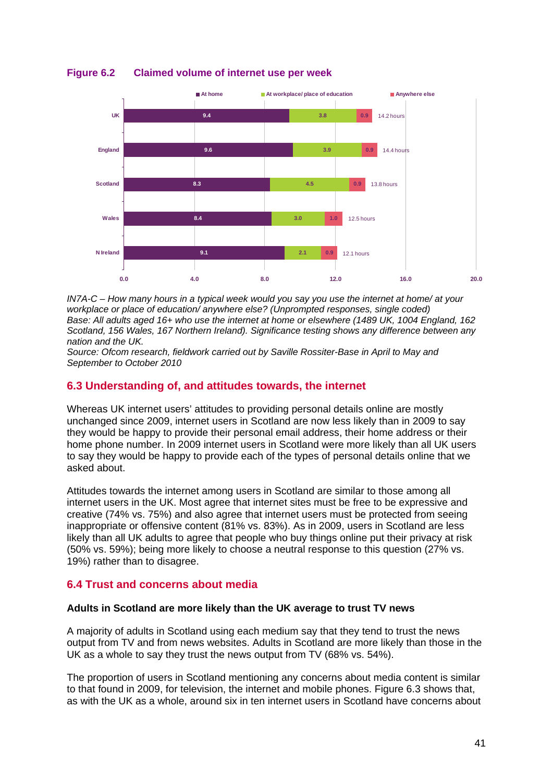

#### **Figure 6.2 Claimed volume of internet use per week**

*IN7A-C – How many hours in a typical week would you say you use the internet at home/ at your workplace or place of education/ anywhere else? (Unprompted responses, single coded)* Base: All adults aged 16+ who use the internet at home or elsewhere (1489 UK, 1004 England, 162 *Scotland, 156 Wales, 167 Northern Ireland). Significance testing shows any difference between any nation and the UK.*

*Source: Ofcom research, fieldwork carried out by Saville Rossiter-Base in April to May and September to October 2010*

#### **6.3 Understanding of, and attitudes towards, the internet**

Whereas UK internet users' attitudes to providing personal details online are mostly unchanged since 2009, internet users in Scotland are now less likely than in 2009 to say they would be happy to provide their personal email address, their home address or their home phone number. In 2009 internet users in Scotland were more likely than all UK users to say they would be happy to provide each of the types of personal details online that we asked about.

Attitudes towards the internet among users in Scotland are similar to those among all internet users in the UK. Most agree that internet sites must be free to be expressive and creative (74% vs. 75%) and also agree that internet users must be protected from seeing inappropriate or offensive content (81% vs. 83%). As in 2009, users in Scotland are less likely than all UK adults to agree that people who buy things online put their privacy at risk (50% vs. 59%); being more likely to choose a neutral response to this question (27% vs. 19%) rather than to disagree.

### **6.4 Trust and concerns about media**

#### **Adults in Scotland are more likely than the UK average to trust TV news**

A majority of adults in Scotland using each medium say that they tend to trust the news output from TV and from news websites. Adults in Scotland are more likely than those in the UK as a whole to say they trust the news output from TV (68% vs. 54%).

The proportion of users in Scotland mentioning any concerns about media content is similar to that found in 2009, for television, the internet and mobile phones. [Figure 6.3](#page-2-0) shows that, as with the UK as a whole, around six in ten internet users in Scotland have concerns about